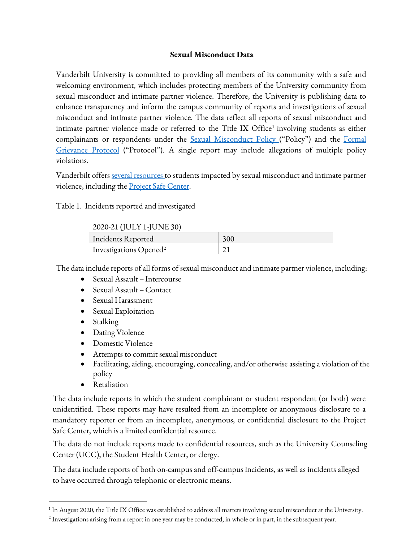## **Sexual Misconduct Data**

Vanderbilt University is committed to providing all members of its community with a safe and welcoming environment, which includes protecting members of the University community from sexual misconduct and intimate partner violence. Therefore, the University is publishing data to enhance transparency and inform the campus community of reports and investigations of sexual misconduct and intimate partner violence. The data reflect all reports of sexual misconduct and intimate partner violence made or referred to the Title IX Office<sup>[1](#page-0-0)</sup> involving students as either complainants or respondents under the [Sexual Misconduct Policy](https://www.vanderbilt.edu/title-ix/docs/SexualMisconductPolicy.pdf) ("Policy") and the Formal [Grievance Protocol](https://www.vanderbilt.edu/title-ix/docs/FormalGrievanceProtocol.pdf) ("Protocol"). A single report may include allegations of multiple policy violations.

Vanderbilt offers <u>several resources</u> to students impacted by sexual misconduct and intimate partner violence, including the **Project Safe Center**.

Table 1. Incidents reported and investigated

## 2020-21 (JULY 1-JUNE 30)

| $2020$ 21 ( $0.011$ 1 $0.11$ $0.00$ |     |
|-------------------------------------|-----|
| Incidents Reported                  | 300 |
| Investigations Opened <sup>2</sup>  |     |

The data include reports of all forms of sexual misconduct and intimate partner violence, including:

- Sexual Assault Intercourse
- Sexual Assault Contact
- Sexual Harassment
- Sexual Exploitation
- Stalking
- Dating Violence
- Domestic Violence
- Attempts to commit sexual misconduct
- Facilitating, aiding, encouraging, concealing, and/or otherwise assisting a violation of the policy
- Retaliation

The data include reports in which the student complainant or student respondent (or both) were unidentified. These reports may have resulted from an incomplete or anonymous disclosure to a mandatory reporter or from an incomplete, anonymous, or confidential disclosure to the Project Safe Center, which is a limited confidential resource.

The data do not include reports made to confidential resources, such as the University Counseling Center (UCC), the Student Health Center, or clergy.

The data include reports of both on-campus and off-campus incidents, as well as incidents alleged to have occurred through telephonic or electronic means.

<span id="page-0-0"></span> $1$  In August 2020, the Title IX Office was established to address all matters involving sexual misconduct at the University.

<span id="page-0-1"></span> $^2$  Investigations arising from a report in one year may be conducted, in whole or in part, in the subsequent year.